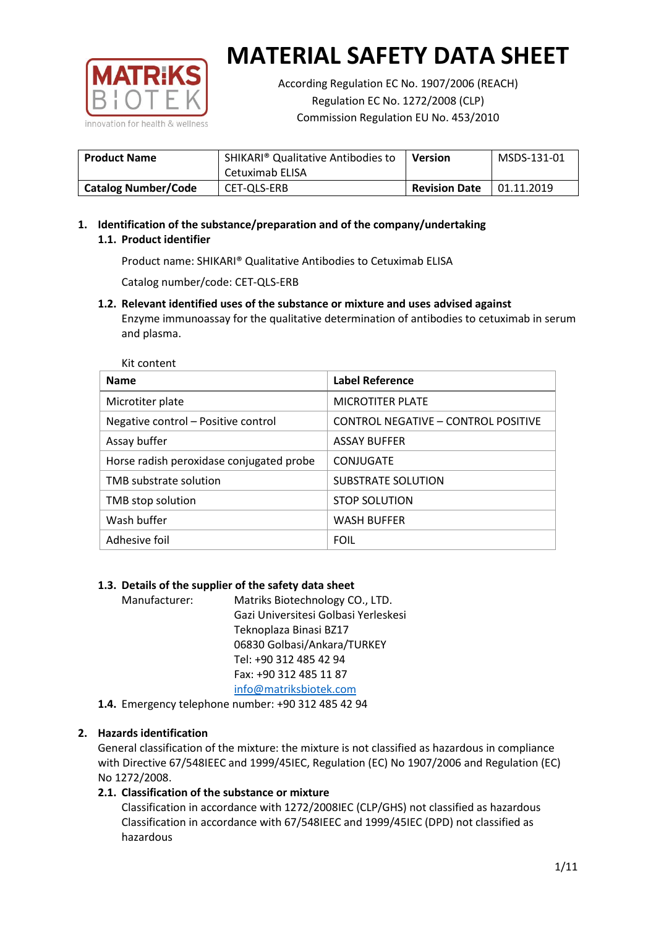

According Regulation EC No. 1907/2006 (REACH) Regulation EC No. 1272/2008 (CLP) Commission Regulation EU No. 453/2010

| <b>Product Name</b>        | SHIKARI <sup>®</sup> Qualitative Antibodies to<br>Cetuximab ELISA | Version              | MSDS-131-01 |
|----------------------------|-------------------------------------------------------------------|----------------------|-------------|
| <b>Catalog Number/Code</b> | CET-QLS-ERB                                                       | <b>Revision Date</b> | 01.11.2019  |

# **1. Identification of the substance/preparation and of the company/undertaking 1.1. Product identifier**

Product name: SHIKARI® Qualitative Antibodies to Cetuximab ELISA

Catalog number/code: CET-QLS-ERB

**1.2. Relevant identified uses of the substance or mixture and uses advised against** Enzyme immunoassay for the qualitative determination of antibodies to cetuximab in serum and plasma.

| <b>Name</b>                              | <b>Label Reference</b>              |
|------------------------------------------|-------------------------------------|
| Microtiter plate                         | <b>MICROTITER PLATE</b>             |
| Negative control - Positive control      | CONTROL NEGATIVE - CONTROL POSITIVE |
| Assay buffer                             | <b>ASSAY BUFFER</b>                 |
| Horse radish peroxidase conjugated probe | CONJUGATE                           |
| TMB substrate solution                   | SUBSTRATE SOLUTION                  |
| TMB stop solution                        | <b>STOP SOLUTION</b>                |
| Wash buffer                              | <b>WASH BUFFER</b>                  |
| Adhesive foil                            | <b>FOIL</b>                         |

## **1.3. Details of the supplier of the safety data sheet**

Manufacturer: Matriks Biotechnology CO., LTD. Gazi Universitesi Golbasi Yerleskesi Teknoplaza Binasi BZ17 06830 Golbasi/Ankara/TURKEY Tel: +90 312 485 42 94 Fax: +90 312 485 11 87 [info@matriksbiotek.com](mailto:info@matriksbiotek.com)

**1.4.** Emergency telephone number: +90 312 485 42 94

## **2. Hazards identification**

General classification of the mixture: the mixture is not classified as hazardous in compliance with Directive 67/548IEEC and 1999/45IEC, Regulation (EC) No 1907/2006 and Regulation (EC) No 1272/2008.

## **2.1. Classification of the substance or mixture**

Classification in accordance with 1272/2008IEC (CLP/GHS) not classified as hazardous Classification in accordance with 67/548IEEC and 1999/45IEC (DPD) not classified as hazardous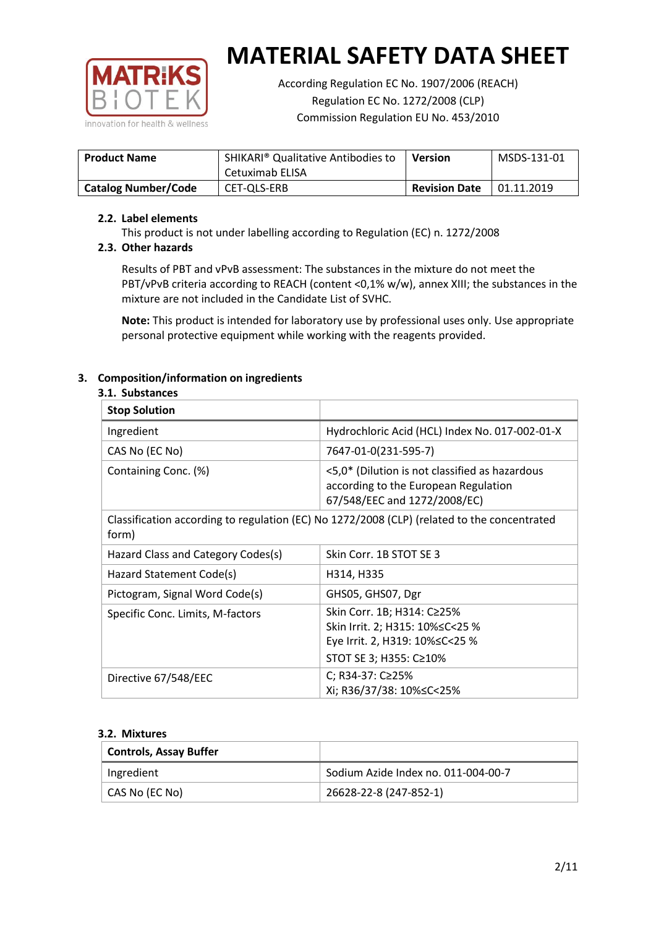

According Regulation EC No. 1907/2006 (REACH) Regulation EC No. 1272/2008 (CLP) Commission Regulation EU No. 453/2010

| <b>Product Name</b>        | SHIKARI <sup>®</sup> Qualitative Antibodies to<br>Cetuximab ELISA | Version              | MSDS-131-01 |
|----------------------------|-------------------------------------------------------------------|----------------------|-------------|
| <b>Catalog Number/Code</b> | CET-QLS-ERB                                                       | <b>Revision Date</b> | 01.11.2019  |

## **2.2. Label elements**

This product is not under labelling according to Regulation (EC) n. 1272/2008

## **2.3. Other hazards**

Results of PBT and vPvB assessment: The substances in the mixture do not meet the PBT/vPvB criteria according to REACH (content <0,1% w/w), annex XIII; the substances in the mixture are not included in the Candidate List of SVHC.

**Note:** This product is intended for laboratory use by professional uses only. Use appropriate personal protective equipment while working with the reagents provided.

## **3. Composition/information on ingredients**

#### **3.1. Substances**

| <b>Stop Solution</b>               |                                                                                                                               |
|------------------------------------|-------------------------------------------------------------------------------------------------------------------------------|
| Ingredient                         | Hydrochloric Acid (HCL) Index No. 017-002-01-X                                                                                |
| CAS No (EC No)                     | 7647-01-0(231-595-7)                                                                                                          |
| Containing Conc. (%)               | <5,0* (Dilution is not classified as hazardous<br>according to the European Regulation<br>67/548/EEC and 1272/2008/EC)        |
| form)                              | Classification according to regulation (EC) No 1272/2008 (CLP) (related to the concentrated                                   |
| Hazard Class and Category Codes(s) | Skin Corr. 1B STOT SE 3                                                                                                       |
| Hazard Statement Code(s)           | H314, H335                                                                                                                    |
| Pictogram, Signal Word Code(s)     | GHS05, GHS07, Dgr                                                                                                             |
| Specific Conc. Limits, M-factors   | Skin Corr. 1B; H314: C≥25%<br>Skin Irrit. 2; H315: 10% ≤ C < 25 %<br>Eye Irrit. 2, H319: 10%≤C<25 %<br>STOT SE 3; H355: C≥10% |
| Directive 67/548/EEC               | C; R34-37: C≥25%<br>Xi; R36/37/38: 10%≤C<25%                                                                                  |

#### **3.2. Mixtures**

| <b>Controls, Assay Buffer</b> |                                     |
|-------------------------------|-------------------------------------|
| Ingredient                    | Sodium Azide Index no. 011-004-00-7 |
| CAS No (EC No)                | 26628-22-8 (247-852-1)              |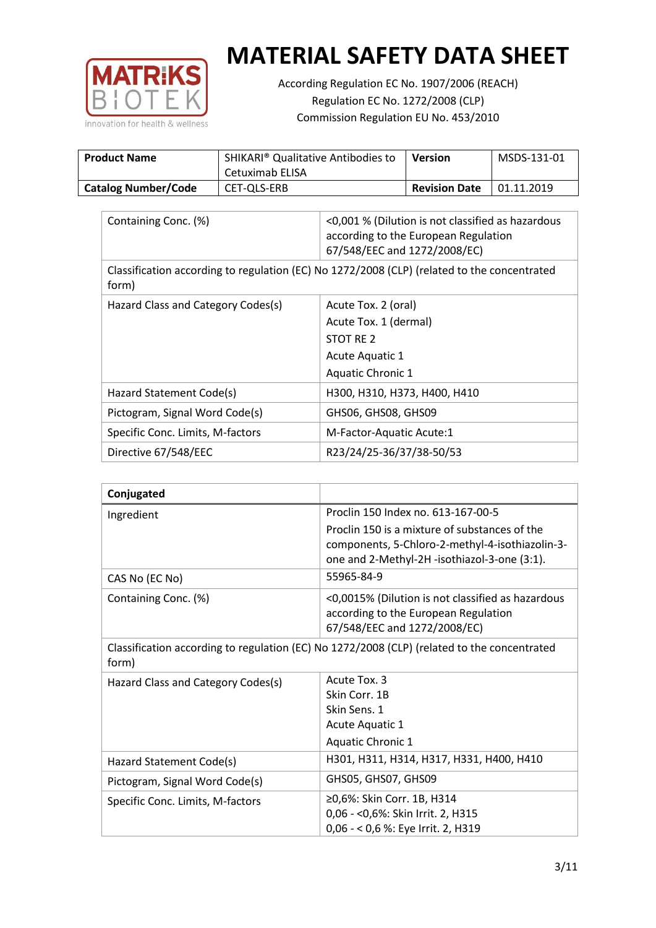

According Regulation EC No. 1907/2006 (REACH) Regulation EC No. 1272/2008 (CLP) Commission Regulation EU No. 453/2010

| <b>Product Name</b>        | SHIKARI <sup>®</sup> Qualitative Antibodies to<br>Cetuximab ELISA | Version              | MSDS-131-01 |
|----------------------------|-------------------------------------------------------------------|----------------------|-------------|
| <b>Catalog Number/Code</b> | CET-QLS-ERB                                                       | <b>Revision Date</b> | 01.11.2019  |

| Containing Conc. (%)                                                                                 | <0,001 % (Dilution is not classified as hazardous<br>according to the European Regulation<br>67/548/EEC and 1272/2008/EC) |  |
|------------------------------------------------------------------------------------------------------|---------------------------------------------------------------------------------------------------------------------------|--|
| Classification according to regulation (EC) No 1272/2008 (CLP) (related to the concentrated<br>form) |                                                                                                                           |  |
| Hazard Class and Category Codes(s)                                                                   | Acute Tox. 2 (oral)                                                                                                       |  |
|                                                                                                      | Acute Tox. 1 (dermal)                                                                                                     |  |
|                                                                                                      | STOT RE 2                                                                                                                 |  |
|                                                                                                      | Acute Aquatic 1                                                                                                           |  |
|                                                                                                      | Aquatic Chronic 1                                                                                                         |  |
| Hazard Statement Code(s)                                                                             | H300, H310, H373, H400, H410                                                                                              |  |
| Pictogram, Signal Word Code(s)                                                                       | GHS06, GHS08, GHS09                                                                                                       |  |
| Specific Conc. Limits, M-factors                                                                     | M-Factor-Aquatic Acute:1                                                                                                  |  |
| Directive 67/548/EEC                                                                                 | R23/24/25-36/37/38-50/53                                                                                                  |  |

| Conjugated                                                                                           |                                                                                                                                                  |  |
|------------------------------------------------------------------------------------------------------|--------------------------------------------------------------------------------------------------------------------------------------------------|--|
| Ingredient                                                                                           | Proclin 150 Index no. 613-167-00-5                                                                                                               |  |
|                                                                                                      | Proclin 150 is a mixture of substances of the<br>components, 5-Chloro-2-methyl-4-isothiazolin-3-<br>one and 2-Methyl-2H -isothiazol-3-one (3:1). |  |
| CAS No (EC No)                                                                                       | 55965-84-9                                                                                                                                       |  |
| Containing Conc. (%)                                                                                 | <0,0015% (Dilution is not classified as hazardous<br>according to the European Regulation<br>67/548/EEC and 1272/2008/EC)                        |  |
| Classification according to regulation (EC) No 1272/2008 (CLP) (related to the concentrated<br>form) |                                                                                                                                                  |  |
| Hazard Class and Category Codes(s)                                                                   | Acute Tox. 3                                                                                                                                     |  |
|                                                                                                      | Skin Corr. 1B                                                                                                                                    |  |
|                                                                                                      | Skin Sens. 1                                                                                                                                     |  |
|                                                                                                      | Acute Aquatic 1                                                                                                                                  |  |
|                                                                                                      | Aquatic Chronic 1                                                                                                                                |  |
| Hazard Statement Code(s)                                                                             | H301, H311, H314, H317, H331, H400, H410                                                                                                         |  |
| Pictogram, Signal Word Code(s)                                                                       | GHS05, GHS07, GHS09                                                                                                                              |  |
| Specific Conc. Limits, M-factors                                                                     | ≥0,6%: Skin Corr. 1B, H314                                                                                                                       |  |
|                                                                                                      | 0,06 - < 0,6%: Skin Irrit. 2, H315                                                                                                               |  |
|                                                                                                      | 0,06 - < 0,6 %: Eye Irrit. 2, H319                                                                                                               |  |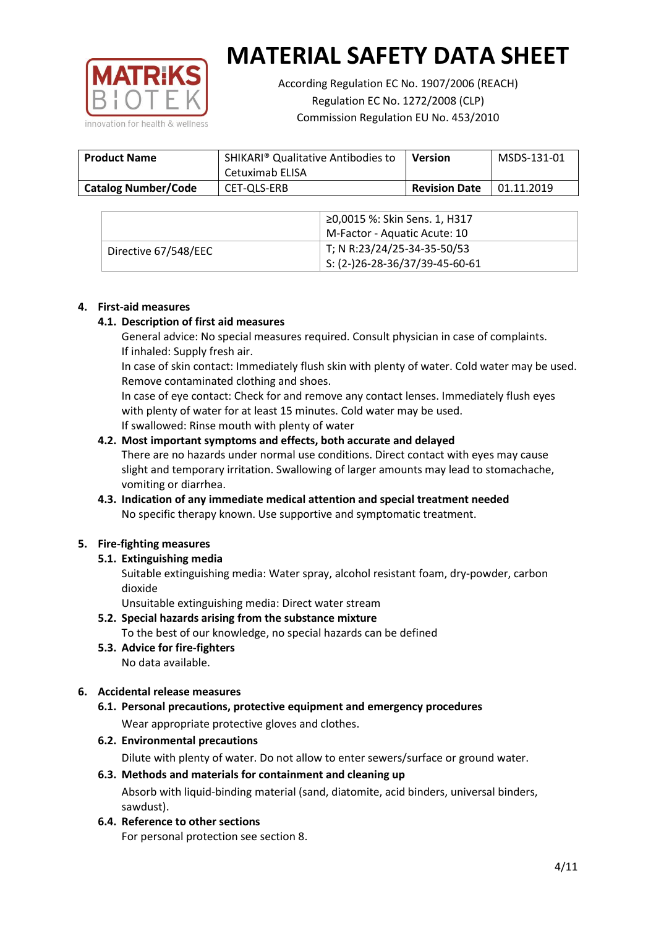

According Regulation EC No. 1907/2006 (REACH) Regulation EC No. 1272/2008 (CLP) Commission Regulation EU No. 453/2010

| <b>Product Name</b>        | SHIKARI <sup>®</sup> Qualitative Antibodies to<br>Cetuximab ELISA | <b>Version</b>       | MSDS-131-01 |
|----------------------------|-------------------------------------------------------------------|----------------------|-------------|
| <b>Catalog Number/Code</b> | CET-QLS-ERB                                                       | <b>Revision Date</b> | 01.11.2019  |

|                      | ≥0,0015 %: Skin Sens. 1, H317                |
|----------------------|----------------------------------------------|
|                      | M-Factor - Aquatic Acute: 10                 |
| Directive 67/548/EEC | T; N R:23/24/25-34-35-50/53                  |
|                      | $\frac{1}{1}$ S: (2-)26-28-36/37/39-45-60-61 |

## **4. First-aid measures**

## **4.1. Description of first aid measures**

General advice: No special measures required. Consult physician in case of complaints. If inhaled: Supply fresh air.

In case of skin contact: Immediately flush skin with plenty of water. Cold water may be used. Remove contaminated clothing and shoes.

In case of eye contact: Check for and remove any contact lenses. Immediately flush eyes with plenty of water for at least 15 minutes. Cold water may be used. If swallowed: Rinse mouth with plenty of water

## **4.2. Most important symptoms and effects, both accurate and delayed**

There are no hazards under normal use conditions. Direct contact with eyes may cause slight and temporary irritation. Swallowing of larger amounts may lead to stomachache, vomiting or diarrhea.

## **4.3. Indication of any immediate medical attention and special treatment needed** No specific therapy known. Use supportive and symptomatic treatment.

## **5. Fire-fighting measures**

## **5.1. Extinguishing media**

Suitable extinguishing media: Water spray, alcohol resistant foam, dry-powder, carbon dioxide

Unsuitable extinguishing media: Direct water stream

- **5.2. Special hazards arising from the substance mixture** To the best of our knowledge, no special hazards can be defined
- **5.3. Advice for fire-fighters** No data available.

## **6. Accidental release measures**

- **6.1. Personal precautions, protective equipment and emergency procedures** Wear appropriate protective gloves and clothes.
- **6.2. Environmental precautions**

Dilute with plenty of water. Do not allow to enter sewers/surface or ground water.

#### **6.3. Methods and materials for containment and cleaning up**

Absorb with liquid-binding material (sand, diatomite, acid binders, universal binders, sawdust).

**6.4. Reference to other sections**

For personal protection see section 8.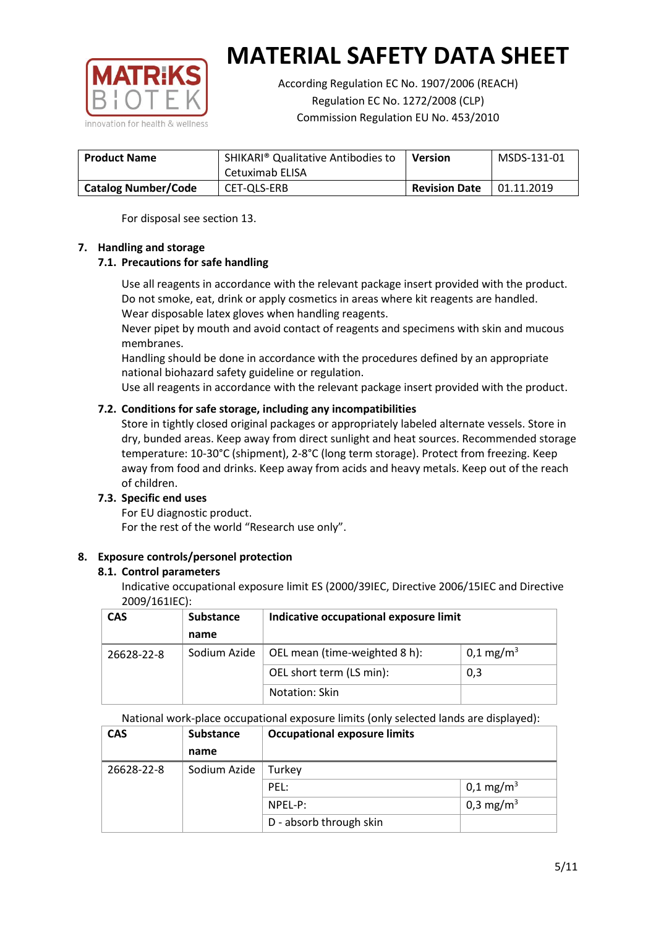

According Regulation EC No. 1907/2006 (REACH) Regulation EC No. 1272/2008 (CLP) Commission Regulation EU No. 453/2010

| <b>Product Name</b>        | SHIKARI <sup>®</sup> Qualitative Antibodies to<br>Cetuximab ELISA | <b>Version</b>       | MSDS-131-01 |
|----------------------------|-------------------------------------------------------------------|----------------------|-------------|
| <b>Catalog Number/Code</b> | CET-QLS-ERB                                                       | <b>Revision Date</b> | 01.11.2019  |

For disposal see section 13.

## **7. Handling and storage**

## **7.1. Precautions for safe handling**

Use all reagents in accordance with the relevant package insert provided with the product. Do not smoke, eat, drink or apply cosmetics in areas where kit reagents are handled. Wear disposable latex gloves when handling reagents.

Never pipet by mouth and avoid contact of reagents and specimens with skin and mucous membranes.

Handling should be done in accordance with the procedures defined by an appropriate national biohazard safety guideline or regulation.

Use all reagents in accordance with the relevant package insert provided with the product.

## **7.2. Conditions for safe storage, including any incompatibilities**

Store in tightly closed original packages or appropriately labeled alternate vessels. Store in dry, bunded areas. Keep away from direct sunlight and heat sources. Recommended storage temperature: 10-30°C (shipment), 2-8°C (long term storage). Protect from freezing. Keep away from food and drinks. Keep away from acids and heavy metals. Keep out of the reach of children.

## **7.3. Specific end uses**

For EU diagnostic product. For the rest of the world "Research use only".

## **8. Exposure controls/personel protection**

#### **8.1. Control parameters**

Indicative occupational exposure limit ES (2000/39IEC, Directive 2006/15IEC and Directive 2009/161IEC):

| <b>CAS</b> | <b>Substance</b> | Indicative occupational exposure limit |                         |
|------------|------------------|----------------------------------------|-------------------------|
|            | name             |                                        |                         |
| 26628-22-8 | Sodium Azide     | OEL mean (time-weighted 8 h):          | $0,1 \,\mathrm{mg/m^3}$ |
|            |                  | OEL short term (LS min):               | 0,3                     |
|            |                  | Notation: Skin                         |                         |

National work-place occupational exposure limits (only selected lands are displayed):

| <b>CAS</b> | <b>Substance</b> | <b>Occupational exposure limits</b> |                         |  |
|------------|------------------|-------------------------------------|-------------------------|--|
|            | name             |                                     |                         |  |
| 26628-22-8 | Sodium Azide     | Turkey                              |                         |  |
|            |                  | PEL:                                | $0,1 \,\mathrm{mg/m^3}$ |  |
|            |                  | $NPEL-P$ :                          | 0,3 mg/m <sup>3</sup>   |  |
|            |                  | D - absorb through skin             |                         |  |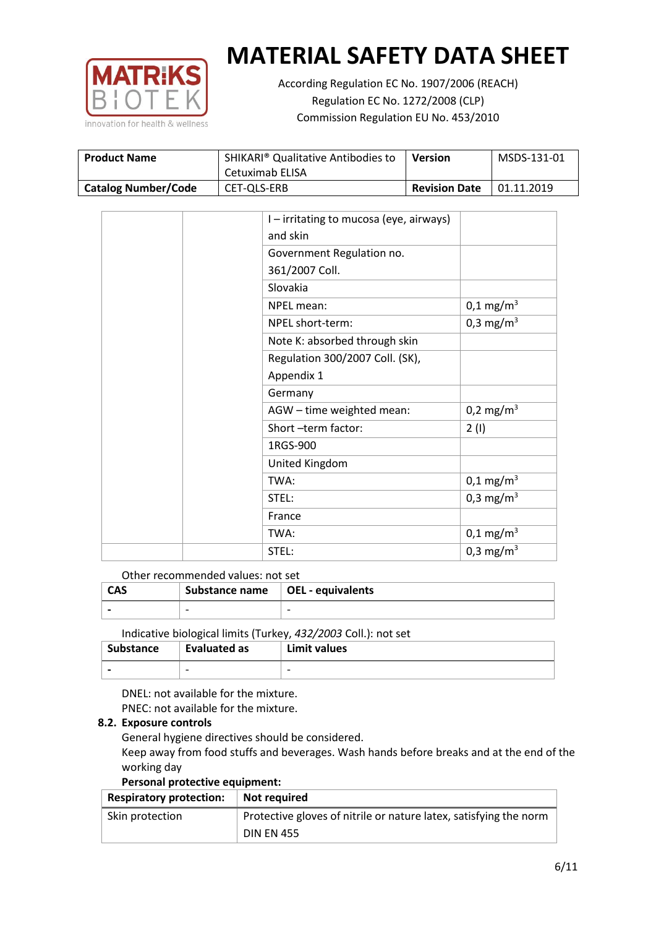

According Regulation EC No. 1907/2006 (REACH) Regulation EC No. 1272/2008 (CLP) Commission Regulation EU No. 453/2010

| <b>Product Name</b>        | SHIKARI <sup>®</sup> Qualitative Antibodies to<br>Cetuximab ELISA | Version              | MSDS-131-01 |
|----------------------------|-------------------------------------------------------------------|----------------------|-------------|
| <b>Catalog Number/Code</b> | CET-QLS-ERB                                                       | <b>Revision Date</b> | 01.11.2019  |

|  | I-irritating to mucosa (eye, airways) |                         |
|--|---------------------------------------|-------------------------|
|  | and skin                              |                         |
|  | Government Regulation no.             |                         |
|  | 361/2007 Coll.                        |                         |
|  | Slovakia                              |                         |
|  | NPEL mean:                            | $0,1 \text{ mg/m}^3$    |
|  | NPEL short-term:                      | 0,3 mg/m <sup>3</sup>   |
|  | Note K: absorbed through skin         |                         |
|  | Regulation 300/2007 Coll. (SK),       |                         |
|  | Appendix 1                            |                         |
|  | Germany                               |                         |
|  | AGW - time weighted mean:             | $0,2 \text{ mg/m}^3$    |
|  | Short-term factor:                    | 2(1)                    |
|  | 1RGS-900                              |                         |
|  | United Kingdom                        |                         |
|  | TWA:                                  | $0,1 \text{ mg/m}^3$    |
|  | STEL:                                 | 0,3 mg/m <sup>3</sup>   |
|  | France                                |                         |
|  | TWA:                                  | $0,1 \,\mathrm{mg/m^3}$ |
|  | STEL:                                 | 0,3 mg/m <sup>3</sup>   |

#### Other recommended values: not set

| <b>CAS</b> | Substance name $\vert$ OEL - equivalents |  |
|------------|------------------------------------------|--|
|            | $\overline{\phantom{0}}$                 |  |
|            |                                          |  |

Indicative biological limits (Turkey, *432/2003* Coll.): not set

| Substance                | Evaluated as             | Limit values             |
|--------------------------|--------------------------|--------------------------|
| $\overline{\phantom{0}}$ | $\overline{\phantom{0}}$ | $\overline{\phantom{0}}$ |

DNEL: not available for the mixture. PNEC: not available for the mixture.

#### **8.2. Exposure controls**

General hygiene directives should be considered.

Keep away from food stuffs and beverages. Wash hands before breaks and at the end of the working day

#### **Personal protective equipment:**

| <b>Respiratory protection:</b> | Not required                                                      |
|--------------------------------|-------------------------------------------------------------------|
| Skin protection                | Protective gloves of nitrile or nature latex, satisfying the norm |
|                                | <b>DIN EN 455</b>                                                 |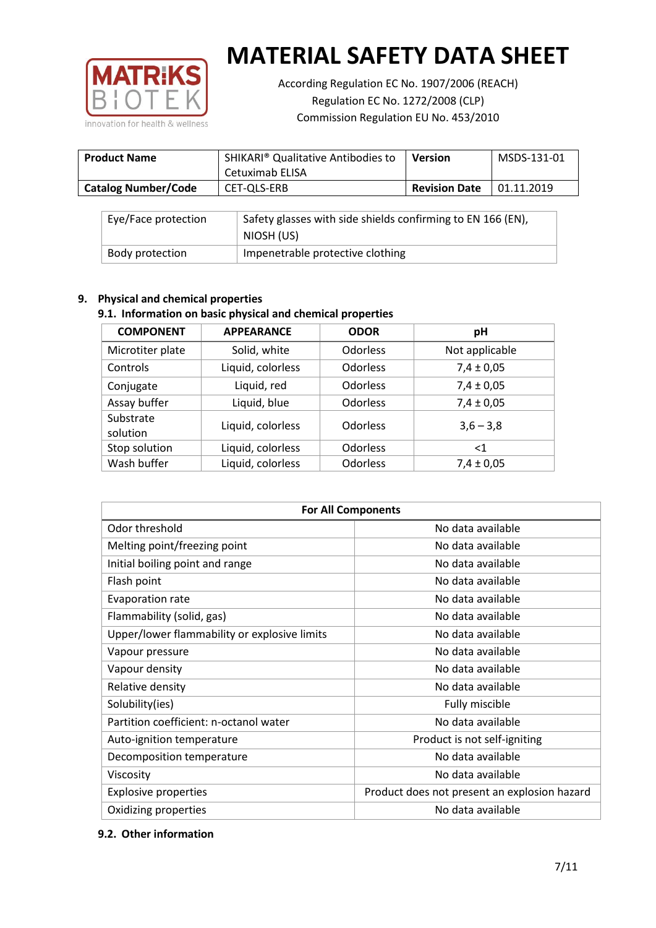

According Regulation EC No. 1907/2006 (REACH) Regulation EC No. 1272/2008 (CLP) Commission Regulation EU No. 453/2010

| <b>Product Name</b>        | SHIKARI <sup>®</sup> Qualitative Antibodies to<br>Cetuximab ELISA | <b>Version</b>       | MSDS-131-01 |
|----------------------------|-------------------------------------------------------------------|----------------------|-------------|
| <b>Catalog Number/Code</b> | CET-OLS-ERB                                                       | <b>Revision Date</b> | 01.11.2019  |

| Eye/Face protection | Safety glasses with side shields confirming to EN 166 (EN),<br>NIOSH (US) |
|---------------------|---------------------------------------------------------------------------|
| Body protection     | Impenetrable protective clothing                                          |

## **9. Physical and chemical properties**

## **9.1. Information on basic physical and chemical properties**

| <b>COMPONENT</b>      | <b>APPEARANCE</b> | <b>ODOR</b>     | pH             |
|-----------------------|-------------------|-----------------|----------------|
| Microtiter plate      | Solid, white      | <b>Odorless</b> | Not applicable |
| Controls              | Liquid, colorless | Odorless        | $7,4 \pm 0,05$ |
| Conjugate             | Liquid, red       | Odorless        | $7,4 \pm 0,05$ |
| Assay buffer          | Liquid, blue      | <b>Odorless</b> | $7,4 \pm 0,05$ |
| Substrate<br>solution | Liquid, colorless | Odorless        | $3,6 - 3,8$    |
| Stop solution         | Liquid, colorless | <b>Odorless</b> | $<$ 1          |
| Wash buffer           | Liquid, colorless | Odorless        | $7,4 \pm 0,05$ |

| <b>For All Components</b>                    |                                              |  |  |
|----------------------------------------------|----------------------------------------------|--|--|
| Odor threshold                               | No data available                            |  |  |
| Melting point/freezing point                 | No data available                            |  |  |
| Initial boiling point and range              | No data available                            |  |  |
| Flash point                                  | No data available                            |  |  |
| <b>Evaporation rate</b>                      | No data available                            |  |  |
| Flammability (solid, gas)                    | No data available                            |  |  |
| Upper/lower flammability or explosive limits | No data available                            |  |  |
| Vapour pressure                              | No data available                            |  |  |
| Vapour density                               | No data available                            |  |  |
| Relative density                             | No data available                            |  |  |
| Solubility(ies)                              | Fully miscible                               |  |  |
| Partition coefficient: n-octanol water       | No data available                            |  |  |
| Auto-ignition temperature                    | Product is not self-igniting                 |  |  |
| Decomposition temperature                    | No data available                            |  |  |
| Viscosity                                    | No data available                            |  |  |
| <b>Explosive properties</b>                  | Product does not present an explosion hazard |  |  |
| Oxidizing properties                         | No data available                            |  |  |

## **9.2. Other information**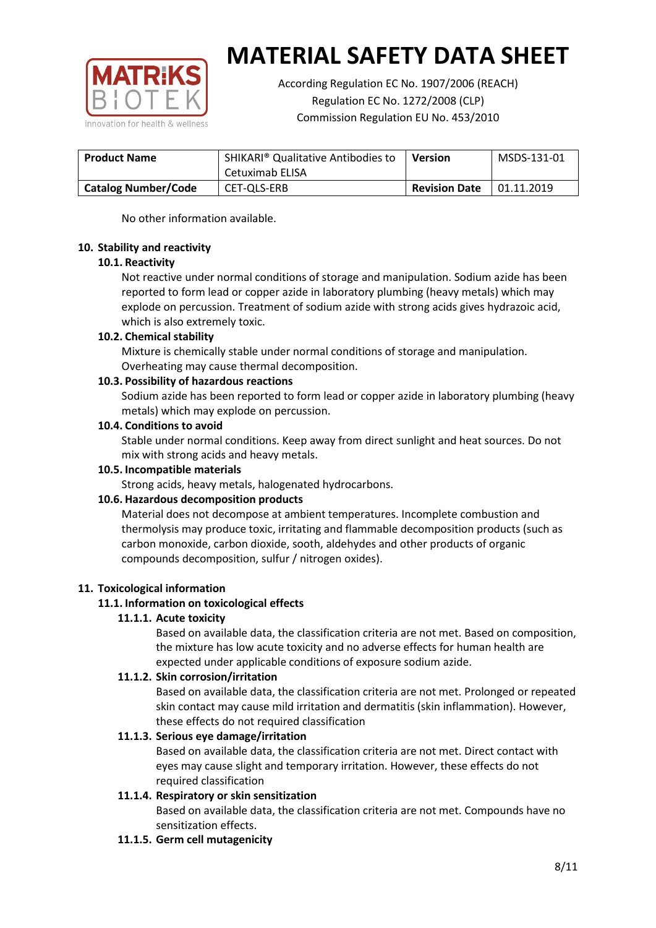

According Regulation EC No. 1907/2006 (REACH) Regulation EC No. 1272/2008 (CLP) Commission Regulation EU No. 453/2010

| <b>Product Name</b>        | SHIKARI <sup>®</sup> Qualitative Antibodies to<br>Cetuximab ELISA | Version              | MSDS-131-01 |
|----------------------------|-------------------------------------------------------------------|----------------------|-------------|
| <b>Catalog Number/Code</b> | CET-QLS-ERB                                                       | <b>Revision Date</b> | 01.11.2019  |

No other information available.

## **10. Stability and reactivity**

## **10.1. Reactivity**

Not reactive under normal conditions of storage and manipulation. Sodium azide has been reported to form lead or copper azide in laboratory plumbing (heavy metals) which may explode on percussion. Treatment of sodium azide with strong acids gives hydrazoic acid, which is also extremely toxic.

## **10.2. Chemical stability**

Mixture is chemically stable under normal conditions of storage and manipulation. Overheating may cause thermal decomposition.

## **10.3. Possibility of hazardous reactions**

Sodium azide has been reported to form lead or copper azide in laboratory plumbing (heavy metals) which may explode on percussion.

## **10.4. Conditions to avoid**

Stable under normal conditions. Keep away from direct sunlight and heat sources. Do not mix with strong acids and heavy metals.

#### **10.5. Incompatible materials**

Strong acids, heavy metals, halogenated hydrocarbons.

## **10.6. Hazardous decomposition products**

Material does not decompose at ambient temperatures. Incomplete combustion and thermolysis may produce toxic, irritating and flammable decomposition products (such as carbon monoxide, carbon dioxide, sooth, aldehydes and other products of organic compounds decomposition, sulfur / nitrogen oxides).

## **11. Toxicological information**

## **11.1. Information on toxicological effects**

#### **11.1.1. Acute toxicity**

Based on available data, the classification criteria are not met. Based on composition, the mixture has low acute toxicity and no adverse effects for human health are expected under applicable conditions of exposure sodium azide.

#### **11.1.2. Skin corrosion/irritation**

Based on available data, the classification criteria are not met. Prolonged or repeated skin contact may cause mild irritation and dermatitis (skin inflammation). However, these effects do not required classification

## **11.1.3. Serious eye damage/irritation**

Based on available data, the classification criteria are not met. Direct contact with eyes may cause slight and temporary irritation. However, these effects do not required classification

## **11.1.4. Respiratory or skin sensitization**

Based on available data, the classification criteria are not met. Compounds have no sensitization effects.

#### **11.1.5. Germ cell mutagenicity**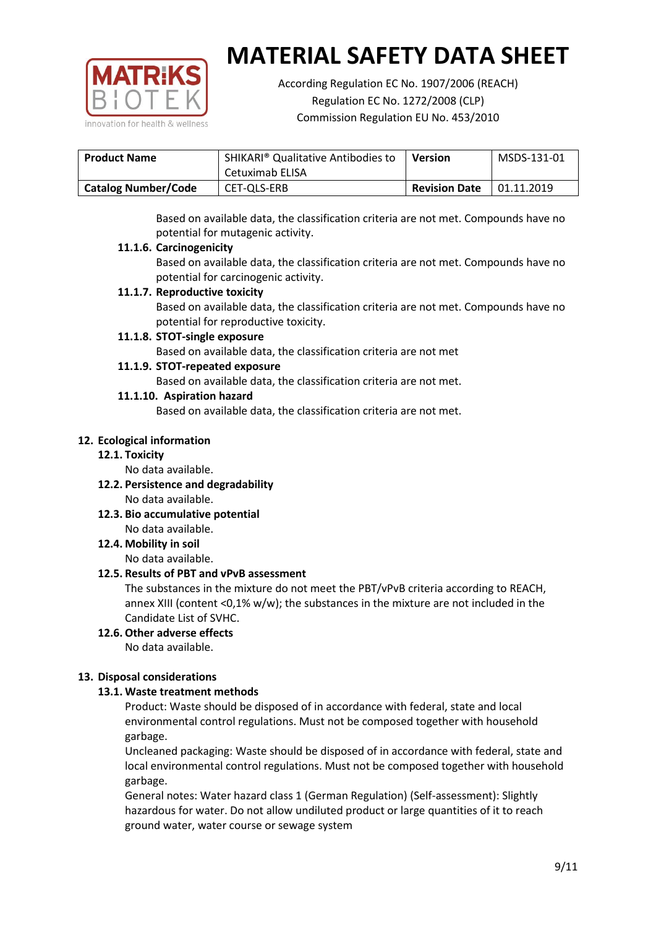

According Regulation EC No. 1907/2006 (REACH) Regulation EC No. 1272/2008 (CLP) Commission Regulation EU No. 453/2010

| <b>SHIKARI</b> <sup>®</sup> Qualitative Antibodies to<br><b>Product Name</b> |                 | <b>Version</b>       | MSDS-131-01 |
|------------------------------------------------------------------------------|-----------------|----------------------|-------------|
|                                                                              | Cetuximab ELISA |                      |             |
| <b>Catalog Number/Code</b>                                                   | CET-QLS-ERB     | <b>Revision Date</b> | 01.11.2019  |

Based on available data, the classification criteria are not met. Compounds have no potential for mutagenic activity.

## **11.1.6. Carcinogenicity**

Based on available data, the classification criteria are not met. Compounds have no potential for carcinogenic activity.

## **11.1.7. Reproductive toxicity**

Based on available data, the classification criteria are not met. Compounds have no potential for reproductive toxicity.

## **11.1.8. STOT-single exposure**

Based on available data, the classification criteria are not met

## **11.1.9. STOT-repeated exposure**

Based on available data, the classification criteria are not met.

## **11.1.10. Aspiration hazard**

Based on available data, the classification criteria are not met.

## **12. Ecological information**

#### **12.1. Toxicity**

No data available.

- **12.2. Persistence and degradability** No data available.
- **12.3. Bio accumulative potential** No data available.

**12.4. Mobility in soil**

No data available.

## **12.5. Results of PBT and vPvB assessment**

The substances in the mixture do not meet the PBT/vPvB criteria according to REACH, annex XIII (content <0,1% w/w); the substances in the mixture are not included in the Candidate List of SVHC.

#### **12.6. Other adverse effects** No data available.

## **13. Disposal considerations**

## **13.1. Waste treatment methods**

Product: Waste should be disposed of in accordance with federal, state and local environmental control regulations. Must not be composed together with household garbage.

Uncleaned packaging: Waste should be disposed of in accordance with federal, state and local environmental control regulations. Must not be composed together with household garbage.

General notes: Water hazard class 1 (German Regulation) (Self-assessment): Slightly hazardous for water. Do not allow undiluted product or large quantities of it to reach ground water, water course or sewage system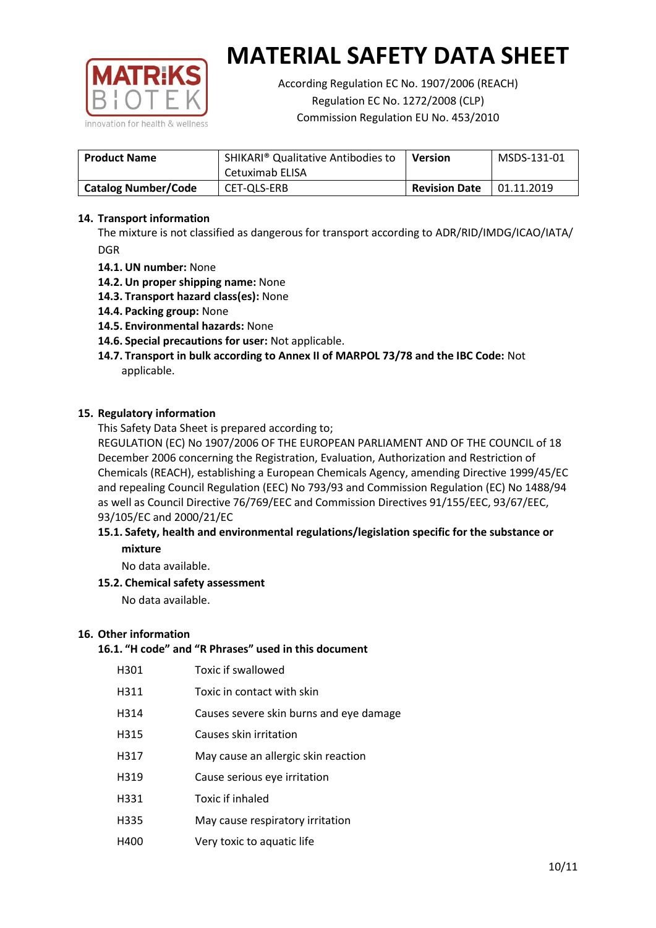

According Regulation EC No. 1907/2006 (REACH) Regulation EC No. 1272/2008 (CLP) Commission Regulation EU No. 453/2010

| <b>Product Name</b>        | SHIKARI <sup>®</sup> Qualitative Antibodies to<br>Cetuximab ELISA | <b>Version</b> | MSDS-131-01 |
|----------------------------|-------------------------------------------------------------------|----------------|-------------|
| <b>Catalog Number/Code</b> | <b>Revision Date</b><br>CET-QLS-ERB                               |                | 01.11.2019  |

## **14. Transport information**

The mixture is not classified as dangerous for transport according to ADR/RID/IMDG/ICAO/IATA/ DGR

- **14.1. UN number:** None
- **14.2. Un proper shipping name:** None
- **14.3. Transport hazard class(es):** None
- **14.4. Packing group:** None
- **14.5. Environmental hazards:** None
- **14.6. Special precautions for user:** Not applicable.
- **14.7. Transport in bulk according to Annex II of MARPOL 73/78 and the IBC Code:** Not applicable.

#### **15. Regulatory information**

This Safety Data Sheet is prepared according to;

REGULATION (EC) No 1907/2006 OF THE EUROPEAN PARLIAMENT AND OF THE COUNCIL of 18 December 2006 concerning the Registration, Evaluation, Authorization and Restriction of Chemicals (REACH), establishing a European Chemicals Agency, amending Directive 1999/45/EC and repealing Council Regulation (EEC) No 793/93 and Commission Regulation (EC) No 1488/94 as well as Council Directive 76/769/EEC and Commission Directives 91/155/EEC, 93/67/EEC, 93/105/EC and 2000/21/EC

## **15.1. Safety, health and environmental regulations/legislation specific for the substance or mixture**

No data available.

## **15.2. Chemical safety assessment**

No data available.

#### **16. Other information**

# **16.1. "H code" and "R Phrases" used in this document**

| H301 | Toxic if swallowed |
|------|--------------------|
|------|--------------------|

- H311 Toxic in contact with skin
- H314 Causes severe skin burns and eye damage
- H315 Causes skin irritation
- H317 May cause an allergic skin reaction
- H319 Cause serious eye irritation
- H331 Toxic if inhaled
- H335 May cause respiratory irritation
- H400 Very toxic to aquatic life